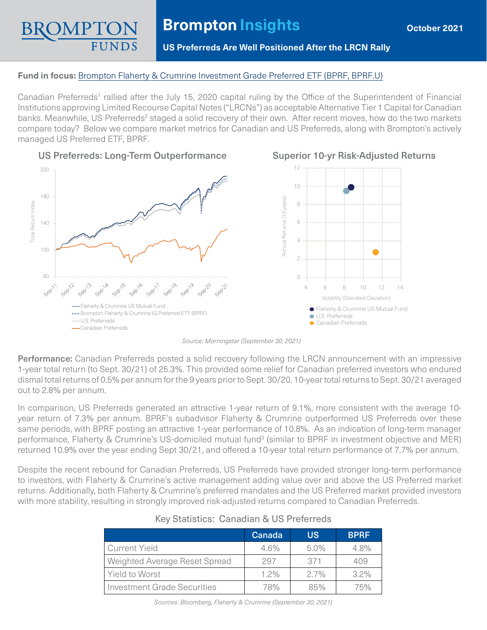# **Brompton Insights**

## **US Preferreds Are Well Positioned After the LRCN Rally**

#### **Fund in focus:** [Brompton Flaherty & Crumrine Investment Grade Preferred ETF \(BPRF, BPRF.U\)](https://www.bromptongroup.com/product/brompton-flaherty-crumrine-investment-grade-preferred-etf/)

Canadian Preferreds<sup>1</sup> rallied after the July 15, 2020 capital ruling by the Office of the Superintendent of Financial Institutions approving Limited Recourse Capital Notes ("LRCNs") as acceptable Alternative Tier 1 Capital for Canadian banks. Meanwhile, US Preferreds<sup>2</sup> staged a solid recovery of their own. After recent moves, how do the two markets compare today? Below we compare market metrics for Canadian and US Preferreds, along with Brompton's actively managed US Preferred ETF, BPRF.



#### US Preferreds: Long-Term Outperformance



## Superior 10-yr Risk-Adjusted Returns

*Source: Morningstar (September 30, 2021)*

Performance: Canadian Preferreds posted a solid recovery following the LRCN announcement with an impressive 1-year total return (to Sept. 30/21) of 25.3%. This provided some relief for Canadian preferred investors who endured dismal total returns of 0.5% per annum for the 9 years prior to Sept. 30/20. 10-year total returns to Sept. 30/21 averaged out to 2.8% per annum.

In comparison, US Preferreds generated an attractive 1-year return of 9.1%, more consistent with the average 10 year return of 7.3% per annum. BPRF's subadvisor Flaherty & Crumrine outperformed US Preferreds over these same periods, with BPRF posting an attractive 1-year performance of 10.8%. As an indication of long-term manager performance, Flaherty & Crumrine's US-domiciled mutual fund<sup>3</sup> (similar to BPRF in investment objective and MER) returned 10.9% over the year ending Sept 30/21, and offered a 10-year total return performance of 7.7% per annum.

Despite the recent rebound for Canadian Preferreds, US Preferreds have provided stronger long-term performance to investors, with Flaherty & Crumrine's active management adding value over and above the US Preferred market returns. Additionally, both Flaherty & Crumrine's preferred mandates and the US Preferred market provided investors with more stability, resulting in strongly improved risk-adjusted returns compared to Canadian Preferreds.

|                                    | Canada  | <b>US</b> | <b>BPRF</b> |  |  |  |
|------------------------------------|---------|-----------|-------------|--|--|--|
| Current Yield                      | 4.6%    | $5.0\%$   | $4.8\%$     |  |  |  |
| Weighted Average Reset Spread      | 297     | 371       | 409         |  |  |  |
| <b>Yield to Worst</b>              | $1.2\%$ | $2.7\%$   | $3.2\%$     |  |  |  |
| <b>Investment Grade Securities</b> | 78%     | 85%       | 75%         |  |  |  |

## Key Statistics: Canadian & US Preferreds

*Sources: Bloomberg, Flaherty & Crumrine (September 30, 2021)*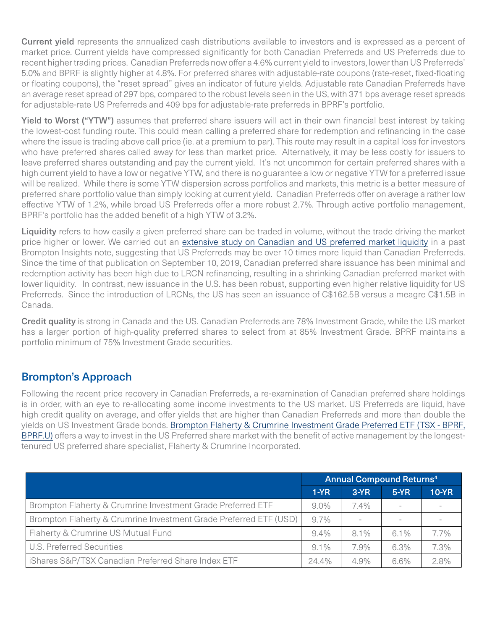Current yield represents the annualized cash distributions available to investors and is expressed as a percent of market price. Current yields have compressed significantly for both Canadian Preferreds and US Preferreds due to recent higher trading prices. Canadian Preferreds now offer a 4.6% current yield to investors, lower than US Preferreds' 5.0% and BPRF is slightly higher at 4.8%. For preferred shares with adjustable-rate coupons (rate-reset, fixed-floating or floating coupons), the "reset spread" gives an indicator of future yields. Adjustable rate Canadian Preferreds have an average reset spread of 297 bps, compared to the robust levels seen in the US, with 371 bps average reset spreads for adjustable-rate US Preferreds and 409 bps for adjustable-rate preferreds in BPRF's portfolio.

Yield to Worst ("YTW") assumes that preferred share issuers will act in their own financial best interest by taking the lowest-cost funding route. This could mean calling a preferred share for redemption and refinancing in the case where the issue is trading above call price (ie. at a premium to par). This route may result in a capital loss for investors who have preferred shares called away for less than market price. Alternatively, it may be less costly for issuers to leave preferred shares outstanding and pay the current yield. It's not uncommon for certain preferred shares with a high current yield to have a low or negative YTW, and there is no guarantee a low or negative YTW for a preferred issue will be realized. While there is some YTW dispersion across portfolios and markets, this metric is a better measure of preferred share portfolio value than simply looking at current yield. Canadian Preferreds offer on average a rather low effective YTW of 1.2%, while broad US Preferreds offer a more robust 2.7%. Through active portfolio management, BPRF's portfolio has the added benefit of a high YTW of 3.2%.

Liquidity refers to how easily a given preferred share can be traded in volume, without the trade driving the market price higher or lower. We carried out an [extensive study on Canadian and US preferred market liquidity](https://www.bromptongroup.com/wp-content/uploads/2019/09/Brompton-Insights-September-Pref-Liquidity-1.pdf) in a past Brompton Insights note, suggesting that US Preferreds may be over 10 times more liquid than Canadian Preferreds. Since the time of that publication on September 10, 2019, Canadian preferred share issuance has been minimal and redemption activity has been high due to LRCN refinancing, resulting in a shrinking Canadian preferred market with lower liquidity. In contrast, new issuance in the U.S. has been robust, supporting even higher relative liquidity for US Preferreds. Since the introduction of LRCNs, the US has seen an issuance of C\$162.5B versus a meagre C\$1.5B in Canada.

Credit quality is strong in Canada and the US. Canadian Preferreds are 78% Investment Grade, while the US market has a larger portion of high-quality preferred shares to select from at 85% Investment Grade. BPRF maintains a portfolio minimum of 75% Investment Grade securities.

## Brompton's Approach

Following the recent price recovery in Canadian Preferreds, a re-examination of Canadian preferred share holdings is in order, with an eye to re-allocating some income investments to the US market. US Preferreds are liquid, have high credit quality on average, and offer yields that are higher than Canadian Preferreds and more than double the yields on US Investment Grade bonds. [Brompton Flaherty & Crumrine Investment Grade Preferred ETF \(TSX - BPRF,](https://www.bromptongroup.com/product/brompton-flaherty-crumrine-investment-grade-preferred-etf/)  [BPRF.U\)](https://www.bromptongroup.com/product/brompton-flaherty-crumrine-investment-grade-preferred-etf/) offers a way to invest in the US Preferred share market with the benefit of active management by the longesttenured US preferred share specialist, Flaherty & Crumrine Incorporated.

|                                                                   | <b>Annual Compound Returns4</b> |                          |        |         |
|-------------------------------------------------------------------|---------------------------------|--------------------------|--------|---------|
|                                                                   | $1-YR$                          | $3-YR$                   | $5-YR$ | $10-YR$ |
| Brompton Flaherty & Crumrine Investment Grade Preferred ETF       | $9.0\%$                         | $7.4\%$                  |        |         |
| Brompton Flaherty & Crumrine Investment Grade Preferred ETF (USD) | 9.7%                            | $\overline{\phantom{a}}$ |        |         |
| Flaherty & Crumrine US Mutual Fund                                | $9.4\%$                         | $8.1\%$                  | 6.1%   | 7.7%    |
| U.S. Preferred Securities                                         | $9.1\%$                         | 7.9%                     | 6.3%   | 7.3%    |
| iShares S&P/TSX Canadian Preferred Share Index ETF                | $24.4\%$                        | 4.9%                     | 6.6%   | 2.8%    |